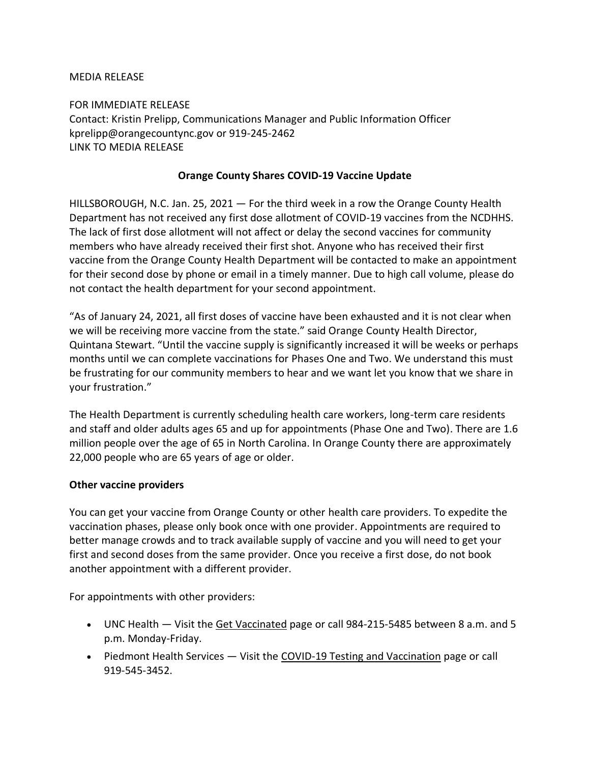## MEDIA RELEASE

FOR IMMEDIATE RELEASE Contact: Kristin Prelipp, Communications Manager and Public Information Officer kprelipp@orangecountync.gov or 919-245-2462 LINK TO MEDIA RELEASE

### **Orange County Shares COVID-19 Vaccine Update**

HILLSBOROUGH, N.C. Jan. 25, 2021 ― For the third week in a row the Orange County Health Department has not received any first dose allotment of COVID-19 vaccines from the NCDHHS. The lack of first dose allotment will not affect or delay the second vaccines for community members who have already received their first shot. Anyone who has received their first vaccine from the Orange County Health Department will be contacted to make an appointment for their second dose by phone or email in a timely manner. Due to high call volume, please do not contact the health department for your second appointment.

"As of January 24, 2021, all first doses of vaccine have been exhausted and it is not clear when we will be receiving more vaccine from the state." said Orange County Health Director, Quintana Stewart. "Until the vaccine supply is significantly increased it will be weeks or perhaps months until we can complete vaccinations for Phases One and Two. We understand this must be frustrating for our community members to hear and we want let you know that we share in your frustration."

The Health Department is currently scheduling health care workers, long-term care residents and staff and older adults ages 65 and up for appointments (Phase One and Two). There are 1.6 million people over the age of 65 in North Carolina. In Orange County there are approximately 22,000 people who are 65 years of age or older.

## **Other vaccine providers**

You can get your vaccine from Orange County or other health care providers. To expedite the vaccination phases, please only book once with one provider. Appointments are required to better manage crowds and to track available supply of vaccine and you will need to get your first and second doses from the same provider. Once you receive a first dose, do not book another appointment with a different provider.

For appointments with other providers:

- UNC Health Visit the [Get Vaccinated](https://vaccine.unchealthcare.org/get-vaccinated/) page or call 984-215-5485 between 8 a.m. and 5 p.m. Monday-Friday.
- Piedmont Health Services Visit the [COVID-19 Testing and Vaccination](https://piedmonthealth.org/how-can-i-be-tested-for-covid19/) page or call 919-545-3452.